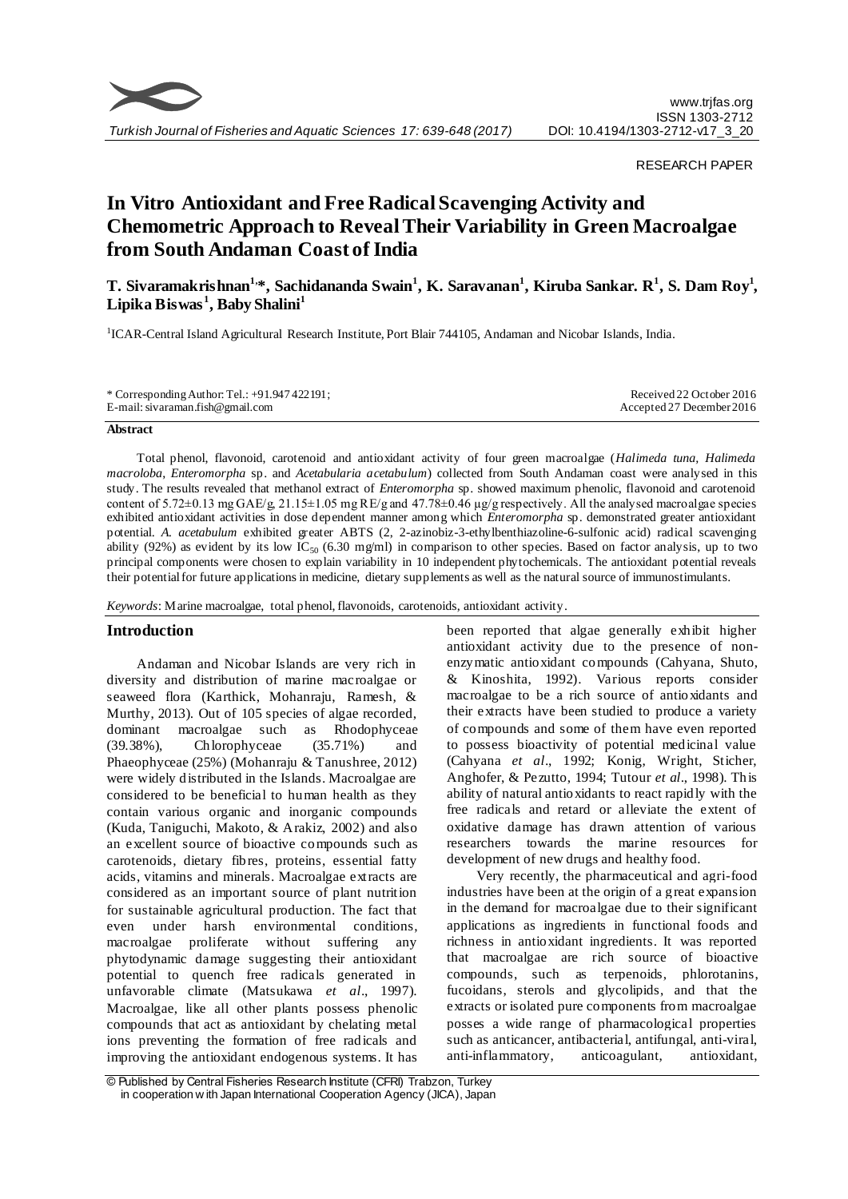

RESEARCH PAPER

# **In Vitro Antioxidant and Free Radical Scavenging Activity and Chemometric Approach to Reveal Their Variability in Green Macroalgae from South Andaman Coast of India**

**T. Sivaramakrishnan1,\*, Sachidananda Swain<sup>1</sup> , K. Saravanan<sup>1</sup> , Kiruba Sankar. R<sup>1</sup> , S. Dam Roy<sup>1</sup> , Lipika Biswas <sup>1</sup> , Baby Shalini<sup>1</sup>**

<sup>1</sup>ICAR-Central Island Agricultural Research Institute, Port Blair 744105, Andaman and Nicobar Islands, India.

| * Corresponding Author: Tel.: $+91.947422191$ ; | Received 22 October 2016  |
|-------------------------------------------------|---------------------------|
| E-mail: sivaraman.fish@gmail.com                | Accepted 27 December 2016 |

# **Abstract**

Total phenol, flavonoid, carotenoid and antioxidant activity of four green macroalgae (*Halimeda tuna, Halimeda macroloba*, *Enteromorpha* sp. and *Acetabularia acetabulum*) collected from South Andaman coast were analysed in this study. The results revealed that methanol extract of *Enteromorpha* sp. showed maximum phenolic, flavonoid and carotenoid content of 5.72±0.13 mg GAE/g, 21.15±1.05 mg RE/g and 47.78±0.46 µg/g respectively. All the analysed macroalgae species exhibited antioxidant activities in dose dependent manner among which *Enteromorpha* sp. demonstrated greater antioxidant potential. *A. acetabulum* exhibited greater ABTS (2, 2-azinobiz-3-ethylbenthiazoline-6-sulfonic acid) radical scavenging ability (92%) as evident by its low IC<sub>50</sub> (6.30 mg/ml) in comparison to other species. Based on factor analysis, up to two principal components were chosen to explain variability in 10 independent phytochemicals. The antioxidant potential reveals their potential for future applications in medicine, dietary supplements as well as the natural source of immunostimulants.

*Keywords*: Marine macroalgae, total phenol, flavonoids, carotenoids, antioxidant activity.

## **Introduction**

Andaman and Nicobar Islands are very rich in diversity and distribution of marine macroalgae or seaweed flora (Karthick, Mohanraju, Ramesh, & Murthy, 2013). Out of 105 species of algae recorded, dominant macroalgae such as Rhodophyceae (39.38%), Chlorophyceae (35.71%) and Phaeophyceae (25%) (Mohanraju & Tanushree, 2012) were widely distributed in the Islands. Macroalgae are considered to be beneficial to human health as they contain various organic and inorganic compounds (Kuda, Taniguchi, Makoto, & Arakiz, 2002) and also an excellent source of bioactive compounds such as carotenoids, dietary fibres, proteins, essential fatty acids, vitamins and minerals. Macroalgae extracts are considered as an important source of plant nutrition for sustainable agricultural production. The fact that even under harsh environmental conditions, macroalgae proliferate without suffering any phytodynamic damage suggesting their antioxidant potential to quench free radicals generated in unfavorable climate (Matsukawa *et al*., 1997). Macroalgae, like all other plants possess phenolic compounds that act as antioxidant by chelating metal ions preventing the formation of free radicals and improving the antioxidant endogenous systems. It has been reported that algae generally exhibit higher antioxidant activity due to the presence of nonenzymatic antioxidant compounds (Cahyana, Shuto, & Kinoshita, 1992). Various reports consider macroalgae to be a rich source of antioxidants and their extracts have been studied to produce a variety of compounds and some of them have even reported to possess bioactivity of potential medicinal value (Cahyana *et al*., 1992; Konig, Wright, Sticher, Anghofer, & Pezutto, 1994; Tutour *et al*., 1998). This ability of natural antioxidants to react rapidly with the free radicals and retard or alleviate the extent of oxidative damage has drawn attention of various researchers towards the marine resources for development of new drugs and healthy food.

Very recently, the pharmaceutical and agri-food industries have been at the origin of a great expansion in the demand for macroalgae due to their significant applications as ingredients in functional foods and richness in antioxidant ingredients. It was reported that macroalgae are rich source of bioactive compounds, such as terpenoids, phlorotanins, fucoidans, sterols and glycolipids, and that the extracts or isolated pure components from macroalgae posses a wide range of pharmacological properties such as anticancer, antibacterial, antifungal, anti-viral, anti-inflammatory, anticoagulant, antioxidant,

<sup>©</sup> Published by Central Fisheries Research Institute (CFRI) Trabzon, Turkey in cooperation w ith Japan International Cooperation Agency (JICA), Japan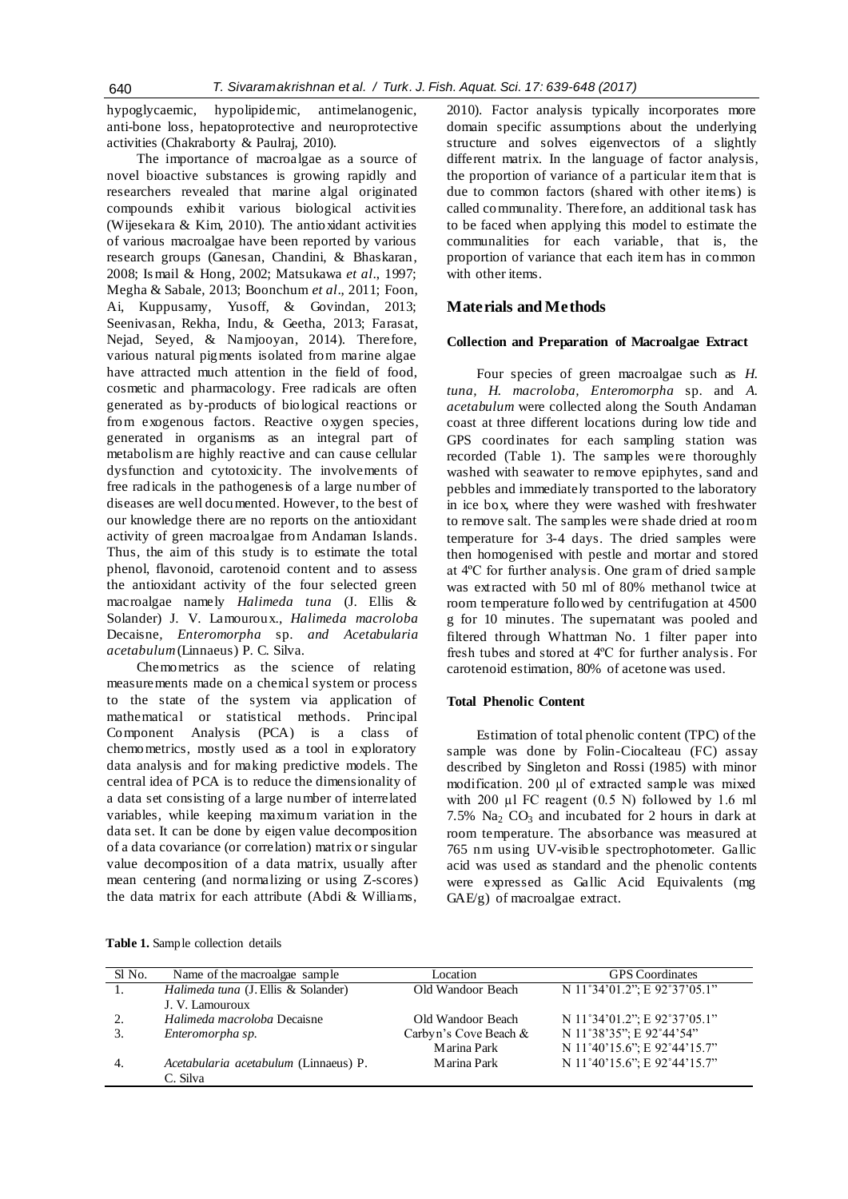hypoglycaemic, hypolipidemic, antimelanogenic, anti-bone loss, hepatoprotective and neuroprotective activities (Chakraborty & Paulraj, 2010).

The importance of macroalgae as a source of novel bioactive substances is growing rapidly and researchers revealed that marine algal originated compounds exhibit various biological activities (Wijesekara & Kim, 2010). The antioxidant activities of various macroalgae have been reported by various research groups (Ganesan, Chandini, & Bhaskaran, 2008; Is mail & Hong, 2002; Matsukawa *et al*., 1997; Megha & Sabale, 2013; Boonchum *et al*., 2011; Foon, Ai, Kuppusamy, Yusoff, & Govindan, 2013; Seenivasan, Rekha, Indu, & Geetha, 2013; Farasat, Nejad, Seyed, & Namjooyan, 2014). Therefore, various natural pigments isolated from marine algae have attracted much attention in the field of food, cosmetic and pharmacology. Free radicals are often generated as by-products of biological reactions or from exogenous factors. Reactive oxygen species, generated in organisms as an integral part of metabolism are highly reactive and can cause cellular dysfunction and cytotoxicity. The involvements of free radicals in the pathogenesis of a large number of diseases are well documented. However, to the best of our knowledge there are no reports on the antioxidant activity of green macroalgae from Andaman Islands. Thus, the aim of this study is to estimate the total phenol, flavonoid, carotenoid content and to assess the antioxidant activity of the four selected green macroalgae namely *Halimeda tuna* (J. Ellis & Solander) J. V. Lamouroux.*, Halimeda macroloba*  Decaisne*, Enteromorpha* sp. *and Acetabularia acetabulum* (Linnaeus) P. C. Silva.

Chemometrics as the science of relating measurements made on a chemical system or process to the state of the system via application of mathematical or statistical methods. Principal Component Analysis (PCA) is a class of chemometrics, mostly used as a tool in [exploratory](https://en.wikipedia.org/wiki/Exploratory_data_analysis)  [data analysis](https://en.wikipedia.org/wiki/Exploratory_data_analysis) and for making [predictive models.](https://en.wikipedia.org/wiki/Predictive_modeling) The central idea of PCA is to reduce the dimensionality of a data set consisting of a large number of interrelated variables, while keeping maximum variation in the data set. It can be done by [eigen value decomposition](https://en.wikipedia.org/wiki/Eigendecomposition_of_a_matrix) of a data [covariance](https://en.wikipedia.org/wiki/Covariance) (or [correlation\)](https://en.wikipedia.org/wiki/Correlation) matrix or [singular](https://en.wikipedia.org/wiki/Singular_value_decomposition) [value decomposition](https://en.wikipedia.org/wiki/Singular_value_decomposition) of a [data matrix,](https://en.wikipedia.org/wiki/Data_matrix_(multivariate_statistics)) usually after mean centering (and normalizing or using [Z-scores\)](https://en.wikipedia.org/wiki/Z-score) the data matrix for each attribute (Abdi & Williams,

2010). Factor analysis typically incorporates more domain specific assumptions about the underlying structure and solves eigenvectors of a slightly different matrix. In the language of factor analysis, the proportion of variance of a particular item that is due to common factors (shared with other items) is called communality*.* Therefore, an additional task has to be faced when applying this model to estimate the communalities for each variable, that is, the proportion of variance that each item has in common with other items.

# **Materials and Methods**

### **Collection and Preparation of Macroalgae Extract**

Four species of green macroalgae such as *H. tuna, H. macroloba, Enteromorpha* sp. and *A. acetabulum* were collected along the South Andaman coast at three different locations during low tide and GPS coordinates for each sampling station was recorded (Table 1). The samples were thoroughly washed with seawater to remove epiphytes, sand and pebbles and immediately transported to the laboratory in ice box, where they were washed with freshwater to remove salt. The samples were shade dried at room temperature for 3-4 days. The dried samples were then homogenised with pestle and mortar and stored at 4ºC for further analysis. One gram of dried sample was extracted with 50 ml of 80% methanol twice at room temperature followed by centrifugation at 4500 g for 10 minutes. The supernatant was pooled and filtered through Whattman No. 1 filter paper into fresh tubes and stored at 4ºC for further analysis. For carotenoid estimation, 80% of acetone was used.

### **Total Phenolic Content**

Estimation of total phenolic content (TPC) of the sample was done by Folin-Ciocalteau (FC) assay described by Singleton and Rossi (1985) with minor modification. 200 µl of extracted sample was mixed with 200 µl FC reagent (0.5 N) followed by 1.6 ml 7.5%  $\text{Na}_2$  CO<sub>3</sub> and incubated for 2 hours in dark at room temperature. The absorbance was measured at 765 nm using UV-visible spectrophotometer. Gallic acid was used as standard and the phenolic contents were expressed as Gallic Acid Equivalents (mg GAE/g) of macroalgae extract.

| Sl No. | Name of the macroalgae sample         | Location              | <b>GPS</b> Coordinates       |
|--------|---------------------------------------|-----------------------|------------------------------|
|        | Halimeda tuna (J. Ellis & Solander)   | Old Wandoor Beach     | N 11°34'01.2"; E 92°37'05.1" |
|        | J. V. Lamouroux                       |                       |                              |
| 2.     | Halimeda macroloba Decaisne           | Old Wandoor Beach     | N 11°34'01.2"; E 92°37'05.1" |
| 3.     | Enteromorpha sp.                      | Carbyn's Cove Beach & | N 11°38'35"; E 92°44'54"     |
|        |                                       | Marina Park           | N 11°40'15.6"; E 92°44'15.7" |
| -4.    | Acetabularia acetabulum (Linnaeus) P. | Marina Park           | N 11°40'15.6"; E 92°44'15.7" |
|        | C. Silva                              |                       |                              |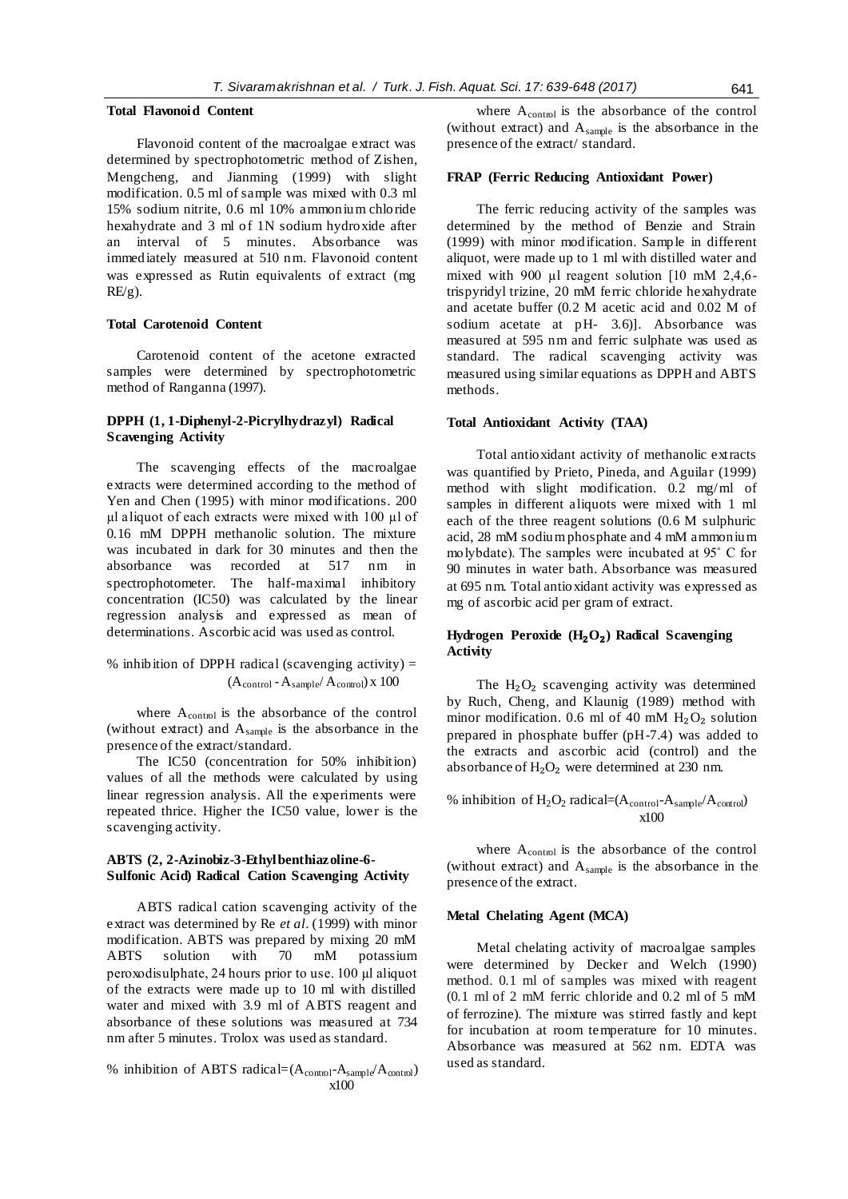### **Total Flavonoid Content**

Flavonoid content of the macroalgae extract was determined by spectrophotometric method of Zishen, Mengcheng, and Jianming (1999) with slight modification. 0.5 ml of sample was mixed with 0.3 ml 15% sodium nitrite, 0.6 ml 10% ammonium chloride hexahydrate and 3 ml of 1N sodium hydroxide after an interval of 5 minutes. Absorbance was immediately measured at 510 nm. Flavonoid content was expressed as Rutin equivalents of extract (mg  $RE/g$ ).

### **Total Carotenoid Content**

Carotenoid content of the acetone extracted samples were determined by spectrophotometric method of Ranganna (1997).

# **DPPH (1, 1-Diphenyl-2-Picrylhydrazyl) Radical Scavenging Activity**

The scavenging effects of the macroalgae extracts were determined according to the method of Yen and Chen (1995) with minor modifications. 200 µl aliquot of each extracts were mixed with 100 µl of 0.16 mM DPPH methanolic solution. The mixture was incubated in dark for 30 minutes and then the<br>absorbance was recorded at 517 nm in absorbance was recorded at 517 nm in spectrophotometer. The half-maximal inhibitory concentration (IC50) was calculated by the linear regression analysis and expressed as mean of determinations. Ascorbic acid was used as control.

% inhibition of DPPH radical (scavenging activity) = 
$$
(A_{control} - A_{sample}/A_{control}) \times 100
$$

where  $A_{control}$  is the absorbance of the control (without extract) and  $A_{sample}$  is the absorbance in the presence of the extract/standard.

The IC50 (concentration for 50% inhibition) values of all the methods were calculated by using linear regression analysis. All the experiments were repeated thrice. Higher the IC50 value, lower is the scavenging activity.

## **ABTS (2, 2-Azinobiz-3-Ethylbenthiazoline-6- Sulfonic Acid) Radical Cation Scavenging Activity**

ABTS radical cation scavenging activity of the extract was determined by Re *et al*. (1999) with minor modification. ABTS was prepared by mixing 20 mM<br>ABTS solution with 70 mM potassium ABTS solution with 70 mM potassium peroxodisulphate, 24 hours prior to use. 100 µl aliquot of the extracts were made up to 10 ml with distilled water and mixed with 3.9 ml of ABTS reagent and absorbance of these solutions was measured at 734 nm after 5 minutes. Trolox was used as standard.

% inhibition of ABTS radical=(
$$
A_{\text{control}}-A_{\text{sample}}/A_{\text{control}}
$$
)  
x100

where A<sub>control</sub> is the absorbance of the control (without extract) and Asample is the absorbance in the presence of the extract/ standard.

### **FRAP (Ferric Reducing Antioxidant Power)**

The ferric reducing activity of the samples was determined by the method of Benzie and Strain (1999) with minor modification. Sample in different aliquot, were made up to 1 ml with distilled water and mixed with 900  $\mu$ l reagent solution [10 mM 2,4,6trispyridyl trizine, 20 mM ferric chloride hexahydrate and acetate buffer (0.2 M acetic acid and 0.02 M of sodium acetate at pH- 3.6). Absorbance was measured at 595 nm and ferric sulphate was used as standard. The radical scavenging activity was measured using similar equations as DPPH and ABTS methods.

### **Total Antioxidant Activity (TAA)**

Total antioxidant activity of methanolic extracts was quantified by Prieto, Pineda, and Aguilar (1999) method with slight modification. 0.2 mg/ml of samples in different aliquots were mixed with 1 ml each of the three reagent solutions (0.6 M sulphuric acid, 28 mM sodium phosphate and 4 mM ammonium molybdate). The samples were incubated at 95˚ C for 90 minutes in water bath. Absorbance was measured at 695 nm. Total antioxidant activity was expressed as mg of ascorbic acid per gram of extract.

## **Hydrogen Peroxide (H**₂**O**₂**) Radical Scavenging Activity**

The  $H_2O_2$  scavenging activity was determined by Ruch, Cheng, and Klaunig (1989) method with minor modification. 0.6 ml of 40 mM  $H_2O_2$  solution prepared in phosphate buffer (pH-7.4) was added to the extracts and ascorbic acid (control) and the absorbance of  $H_2O_2$  were determined at 230 nm.

% inhibition of  $H_2O_2$  radical= $(A_{control} - A_{sample}/A_{control})$ x100

where  $A_{\text{control}}$  is the absorbance of the control (without extract) and Asample is the absorbance in the presence of the extract.

### **Metal Chelating Agent (MCA)**

Metal chelating activity of macroalgae samples were determined by Decker and Welch (1990) method. 0.1 ml of samples was mixed with reagent (0.1 ml of 2 mM ferric chloride and 0.2 ml of 5 mM of ferrozine). The mixture was stirred fastly and kept for incubation at room temperature for 10 minutes. Absorbance was measured at 562 nm. EDTA was used as standard.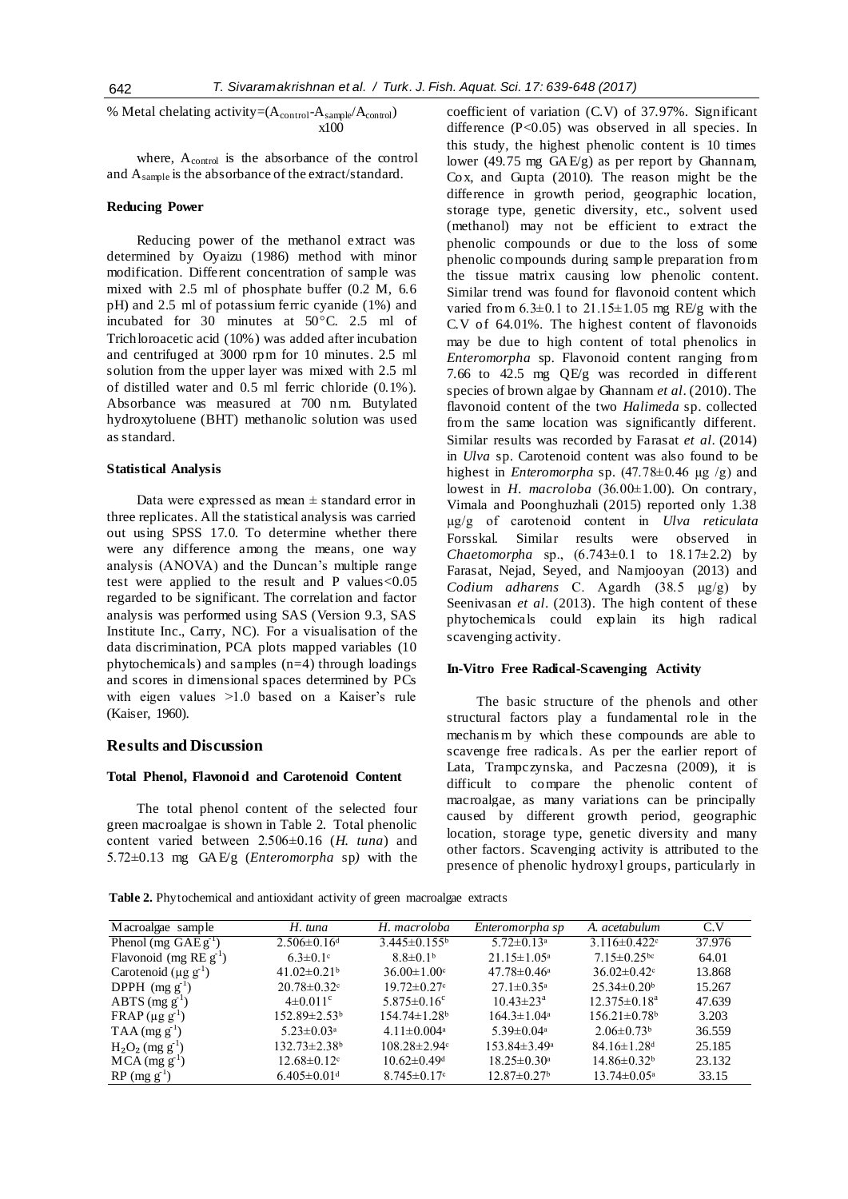% Metal chelating activity= $(A_{control} - A_{sample}/A_{control})$ x100

where, A<sub>control</sub> is the absorbance of the control and Asample is the absorbance of the extract/standard.

#### **Reducing Power**

Reducing power of the methanol extract was determined by Oyaizu (1986) method with minor modification. Different concentration of sample was mixed with 2.5 ml of phosphate buffer (0.2 M, 6.6 pH) and 2.5 ml of potassium ferric cyanide (1%) and incubated for 30 minutes at 50°C. 2.5 ml of Trichloroacetic acid (10%) was added after incubation and centrifuged at 3000 rpm for 10 minutes. 2.5 ml solution from the upper layer was mixed with 2.5 ml of distilled water and 0.5 ml ferric chloride (0.1%). Absorbance was measured at 700 nm. Butylated hydroxytoluene (BHT) methanolic solution was used as standard.

### **Statistical Analysis**

Data were expressed as mean  $\pm$  standard error in three replicates. All the statistical analysis was carried out using SPSS 17.0. To determine whether there were any difference among the means, one way analysis (ANOVA) and the Duncan's multiple range test were applied to the result and P values<0.05 regarded to be significant. The correlation and factor analysis was performed using SAS (Version 9.3, SAS Institute Inc., Carry, NC). For a visualisation of the data discrimination, PCA plots mapped variables (10 phytochemicals) and samples (n=4) through loadings and scores in dimensional spaces determined by PCs with eigen values >1.0 based on a Kaiser's rule (Kaiser, 1960).

### **Results and Discussion**

# **Total Phenol, Flavonoid and Carotenoid Content**

The total phenol content of the selected four green macroalgae is shown in Table 2. Total phenolic content varied between 2.506±0.16 (*H. tuna*) and 5.72±0.13 mg GAE/g (*Enteromorpha* sp*)* with the coefficient of variation (C.V) of 37.97%. Significant difference (P<0.05) was observed in all species. In this study, the highest phenolic content is 10 times lower (49.75 mg GAE/g) as per report by Ghannam, Cox, and Gupta (2010). The reason might be the difference in growth period, geographic location, storage type, genetic diversity, etc., solvent used (methanol) may not be efficient to extract the phenolic compounds or due to the loss of some phenolic compounds during sample preparation from the tissue matrix causing low phenolic content. Similar trend was found for flavonoid content which varied from  $6.3\pm0.1$  to  $21.15\pm1.05$  mg RE/g with the C.V of 64.01%. The highest content of flavonoids may be due to high content of total phenolics in *Enteromorpha* sp*.* Flavonoid content ranging from 7.66 to 42.5 mg QE/g was recorded in different species of brown algae by Ghannam *et al*. (2010). The flavonoid content of the two *Halimeda* sp. collected from the same location was significantly different. Similar results was recorded by Farasat *et al*. (2014) in *Ulva* sp. Carotenoid content was also found to be highest in *Enteromorpha* sp.  $(47.78\pm0.46 \text{ µg}/g)$  and lowest in *H. macroloba* (36.00±1.00). On contrary, Vimala and Poonghuzhali (2015) reported only 1.38 µg/g of carotenoid content in *Ulva reticulata*  Forsskal*.* Similar results were observed in *Chaetomorpha* sp.,  $(6.743 \pm 0.1 \text{ to } 18.17 \pm 2.2)$  by Farasat, Nejad, Seyed, and Namjooyan (2013) and *Codium adharens* C. Agardh (38.5 µg/g) by Seenivasan *et al*. (2013). The high content of these phytochemicals could explain its high radical scavenging activity.

# **In-Vitro Free Radical-Scavenging Activity**

The basic structure of the phenols and other structural factors play a fundamental role in the mechanis m by which these compounds are able to scavenge free radicals. As per the earlier report of Lata, Trampczynska, and Paczesna (2009), it is difficult to compare the phenolic content of macroalgae, as many variations can be principally caused by different growth period, geographic location, storage type, genetic diversity and many other factors. Scavenging activity is attributed to the presence of phenolic hydroxyl groups, particularly in

**Table 2.** Phytochemical and antioxidant activity of green macroalgae extracts

| Macroalgae sample                     | H. tuna                       | H. macroloba                   | Enteromorpha sp               | A. acetabulum                  | C.V    |
|---------------------------------------|-------------------------------|--------------------------------|-------------------------------|--------------------------------|--------|
| Phenol (mg $GAEg'$ )                  | $2.506 \pm 0.16$ <sup>d</sup> | $3.445 \pm 0.155$ <sup>b</sup> | $5.72 \pm 0.13$ <sup>a</sup>  | $3.116 \pm 0.422$              | 37.976 |
| Flavonoid (mg $REg^1$ )               | $6.3 \pm 0.1$ °               | $8.8 \pm 0.1b$                 | $21.15 \pm 1.05^{\text{a}}$   | $7.15 \pm 0.25$ <sup>bc</sup>  | 64.01  |
| Carotenoid ( $\mu$ g g <sup>1</sup> ) | 41.02 $\pm$ 0.21 <sup>b</sup> | $36.00 \pm 1.00$               | $47.78 \pm 0.46^{\circ}$      | $36.02 \pm 0.42$               | 13.868 |
| DPPH $(mg g-1)$                       | $20.78 \pm 0.32$              | $19.72 \pm 0.27$ °             | $27.1 \pm 0.35^{\circ}$       | $25.34 \pm 0.20^b$             | 15.267 |
| $ABTS$ (mg g <sup>-1</sup> )          | $4\pm 0.011$ <sup>c</sup>     | $5.875 \pm 0.16$ <sup>c</sup>  | $10.43 \pm 23^{\rm a}$        | $12.375 \pm 0.18^a$            | 47.639 |
| $FRAP(\mu g g^1)$                     | 152.89±2.53 <sup>b</sup>      | $154.74 \pm 1.28$ <sup>b</sup> | $164.3 \pm 1.04$ <sup>a</sup> | $156.21 \pm 0.78$ <sup>b</sup> | 3.203  |
| $TAA$ (mg g <sup>-1</sup> )           | $5.23 \pm 0.03$ <sup>a</sup>  | $4.11 \pm 0.004$ <sup>a</sup>  | $5.39 \pm 0.04$ <sup>a</sup>  | $2.06\pm0.73b$                 | 36.559 |
| $H_2O_2$ (mg g <sup>-1</sup> )        | 132.73±2.38 <sup>b</sup>      | $108.28 \pm 2.94$              | 153.84±3.49ª                  | $84.16 \pm 1.28$ <sup>d</sup>  | 25.185 |
| $MCA$ (mg g <sup>-1</sup> )           | $12.68 \pm 0.12$              | $10.62 \pm 0.49$ <sup>d</sup>  | $18.25 \pm 0.30$ <sup>a</sup> | $14.86 \pm 0.32$ <sup>b</sup>  | 23.132 |
| $RP$ (mg $g^{-1}$ )                   | $6.405 \pm 0.01$ <sup>d</sup> | $8.745 \pm 0.17$ °             | $12.87 \pm 0.27$ <sup>b</sup> | $13.74 \pm 0.05^{\mathrm{a}}$  | 33.15  |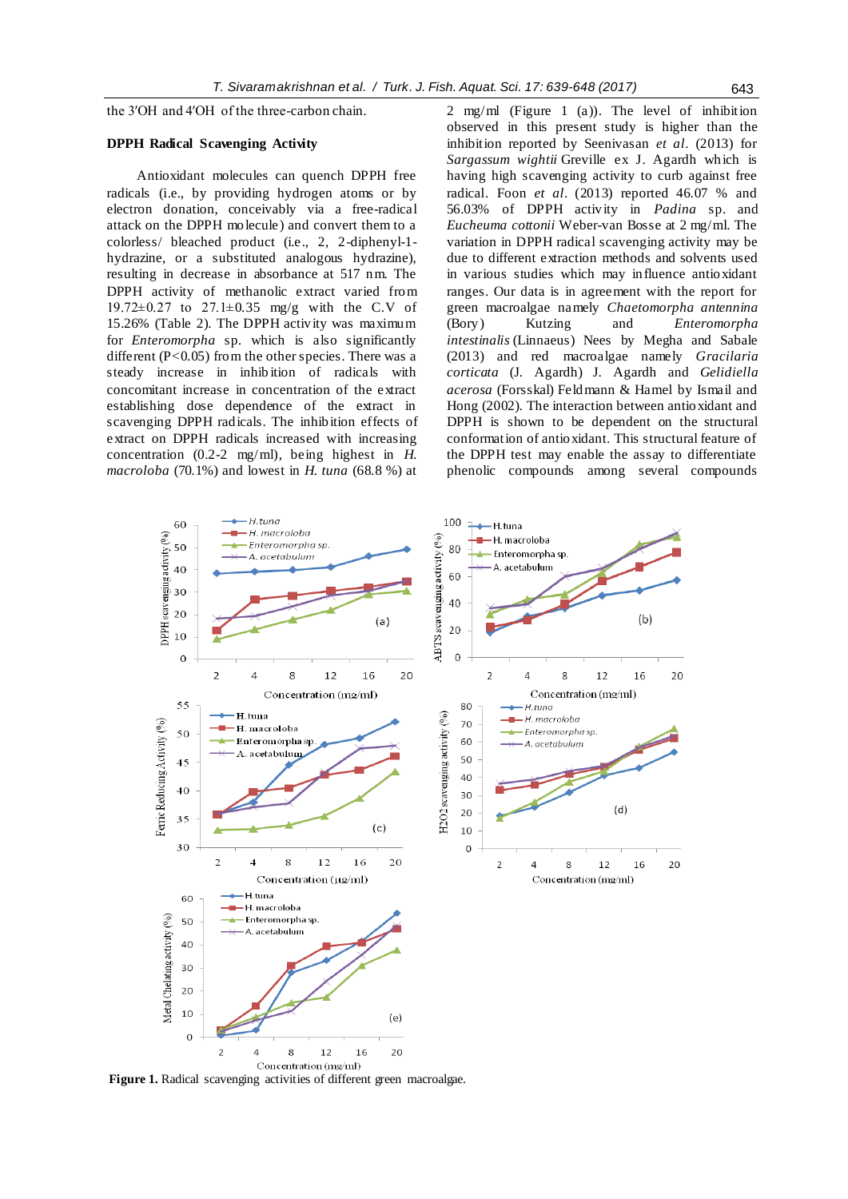the 3′OH and 4′OH of the three-carbon chain.

# **DPPH Radical Scavenging Activity**

Antioxidant molecules can quench DPPH free radicals (i.e., by providing hydrogen atoms or by electron donation, conceivably via a free-radical attack on the DPPH molecule) and convert them to a colorless/ bleached product (i.e., 2, 2-diphenyl-1 hydrazine, or a substituted analogous hydrazine), resulting in decrease in absorbance at 517 nm. The DPPH activity of methanolic extract varied from 19.72 $\pm$ 0.27 to 27.1 $\pm$ 0.35 mg/g with the C.V of 15.26% (Table 2). The DPPH activity was maximum for *Enteromorpha* sp*.* which is also significantly different  $(P<0.05)$  from the other species. There was a steady increase in inhib ition of radicals with concomitant increase in concentration of the extract establishing dose dependence of the extract in scavenging DPPH radicals. The inhibition effects of extract on DPPH radicals increased with increasing concentration (0.2-2 mg/ml), being highest in *H. macroloba* (70.1%) and lowest in *H. tuna* (68.8 %) at

2 mg/ml (Figure 1 (a)). The level of inhibition observed in this present study is higher than the inhibition reported by Seenivasan *et al*. (2013) for *Sargassum wightii* Greville ex J. Agardh which is having high scavenging activity to curb against free radical. Foon *et al*. (2013) reported 46.07 % and 56.03% of DPPH activity in *Padina* sp. and *Eucheuma cottonii* Weber-van Bosse at 2 mg/ml. The variation in DPPH radical scavenging activity may be due to different extraction methods and solvents used in various studies which may influence antioxidant ranges. Our data is in agreement with the report for green macroalgae namely *Chaetomorpha antennina*  (Bory) Kutzing and *Enteromorpha intestinalis* (Linnaeus) Nees by Megha and Sabale (2013) and red macroalgae namely *Gracilaria corticata* (J. Agardh) J. Agardh and *Gelidiella acerosa* (Forsskal) Feldmann & Hamel by Ismail and Hong (2002). The interaction between antioxidant and DPPH is shown to be dependent on the structural conformation of antioxidant. This structural feature of the DPPH test may enable the assay to differentiate phenolic compounds among several compounds

 $(b)$ 

20

20

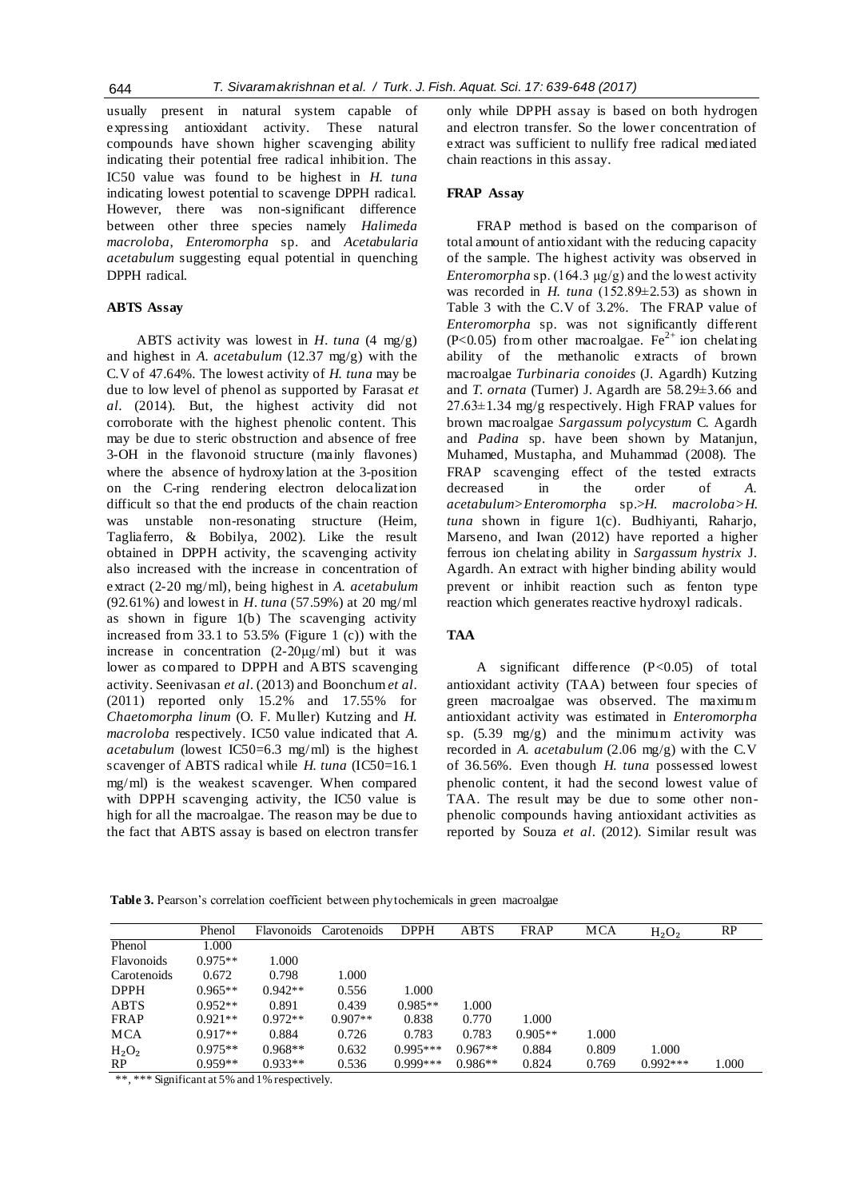usually present in natural system capable of expressing antioxidant activity. These natural compounds have shown higher scavenging ability indicating their potential free radical inhibition. The IC50 value was found to be highest in *H. tuna* indicating lowest potential to scavenge DPPH radical. However, there was non-significant difference between other three species namely *Halimeda macroloba*, *Enteromorpha* sp. and *Acetabularia acetabulum* suggesting equal potential in quenching DPPH radical.

# **ABTS Assay**

ABTS activity was lowest in *H. tuna* (4 mg/g) and highest in *A. acetabulum* (12.37 mg/g) with the C.V of 47.64%. The lowest activity of *H. tuna* may be due to low level of phenol as supported by Farasat *et al*. (2014). But, the highest activity did not corroborate with the highest phenolic content. This may be due to steric obstruction and absence of free 3-OH in the flavonoid structure (mainly flavones) where the absence of hydroxylation at the 3-position on the C-ring rendering electron delocalization difficult so that the end products of the chain reaction was unstable non-resonating structure (Heim, Tagliaferro, & Bobilya, 2002). Like the result obtained in DPPH activity, the scavenging activity also increased with the increase in concentration of extract (2-20 mg/ml), being highest in *A. acetabulum* (92.61%) and lowest in *H. tuna* (57.59%) at 20 mg/ml as shown in figure 1(b) The scavenging activity increased from 33.1 to 53.5% (Figure 1 (c)) with the increase in concentration  $(2-20\mu g/ml)$  but it was lower as compared to DPPH and ABTS scavenging activity. Seenivasan *et al*. (2013) and Boonchum *et al*. (2011) reported only 15.2% and 17.55% for *Chaetomorpha linum* (O. F. Muller) Kutzing and *H. macroloba* respectively. IC50 value indicated that *A. acetabulum* (lowest IC50=6.3 mg/ml) is the highest scavenger of ABTS radical while *H. tuna* (IC50=16.1 mg/ml) is the weakest scavenger. When compared with DPPH scavenging activity, the IC50 value is high for all the macroalgae. The reason may be due to the fact that ABTS assay is based on electron transfer only while DPPH assay is based on both hydrogen and electron transfer. So the lower concentration of extract was sufficient to nullify free radical mediated chain reactions in this assay.

# **FRAP Assay**

FRAP method is based on the comparison of total amount of antioxidant with the reducing capacity of the sample. The highest activity was observed in *Enteromorpha* sp. (164.3 µg/g) and the lowest activity was recorded in *H. tuna* (152.89±2.53) as shown in Table 3 with the C.V of 3.2%. The FRAP value of *Enteromorpha* sp. was not significantly different (P<0.05) from other macroalgae. Fe<sup>2+</sup> ion chelating ability of the methanolic extracts of brown macroalgae *Turbinaria conoides* (J. Agardh) Kutzing and *T. ornata* (Turner) J. Agardh are 58.29±3.66 and  $27.63 \pm 1.34$  mg/g respectively. High FRAP values for brown macroalgae *Sargassum polycystum* C. Agardh and *Padina* sp. have been shown by Matanjun, Muhamed, Mustapha, and Muhammad (2008). The FRAP scavenging effect of the tested extracts decreased in the order of *A*. *acetabulum>Enteromorpha* sp.>*H. macroloba>H. tuna* shown in figure 1(c)*.* Budhiyanti, Raharjo, Marseno, and Iwan (2012) have reported a higher ferrous ion chelating ability in *Sargassum hystrix* J. Agardh*.* An extract with higher binding ability would prevent or inhibit reaction such as fenton type reaction which generates reactive hydroxyl radicals.

# **TAA**

A significant difference (P<0.05) of total antioxidant activity (TAA) between four species of green macroalgae was observed. The maximum antioxidant activity was estimated in *Enteromorpha*  sp.  $(5.39 \text{ mg/g})$  and the minimum activity was recorded in *A. acetabulum* (2.06 mg/g) with the C.V of 36.56%. Even though *H. tuna* possessed lowest phenolic content, it had the second lowest value of TAA. The result may be due to some other nonphenolic compounds having antioxidant activities as reported by Souza *et al*. (2012). Similar result was

**Table 3.** Pearson's correlation coefficient between phytochemicals in green macroalgae

|             | Phenol    | Flavonoids | Carotenoids | <b>DPPH</b> | <b>ABTS</b> | FRAP      | MCA   | $H_2O_2$   | RP    |
|-------------|-----------|------------|-------------|-------------|-------------|-----------|-------|------------|-------|
| Phenol      | 1.000     |            |             |             |             |           |       |            |       |
| Flavonoids  | $0.975**$ | 1.000      |             |             |             |           |       |            |       |
| Carotenoids | 0.672     | 0.798      | 1.000       |             |             |           |       |            |       |
| <b>DPPH</b> | $0.965**$ | $0.942**$  | 0.556       | 1.000       |             |           |       |            |       |
| ABTS        | $0.952**$ | 0.891      | 0.439       | $0.985**$   | 1.000       |           |       |            |       |
| <b>FRAP</b> | $0.921**$ | $0.972**$  | $0.907**$   | 0.838       | 0.770       | 1.000     |       |            |       |
| <b>MCA</b>  | $0.917**$ | 0.884      | 0.726       | 0.783       | 0.783       | $0.905**$ | 1.000 |            |       |
| $H_2O_2$    | $0.975**$ | $0.968**$  | 0.632       | $0.995***$  | $0.967**$   | 0.884     | 0.809 | 1.000      |       |
| RP          | $0.959**$ | $0.933**$  | 0.536       | $0.999***$  | $0.986**$   | 0.824     | 0.769 | $0.992***$ | 1.000 |

\*\*, \*\*\* Significant at 5% and 1% respectively.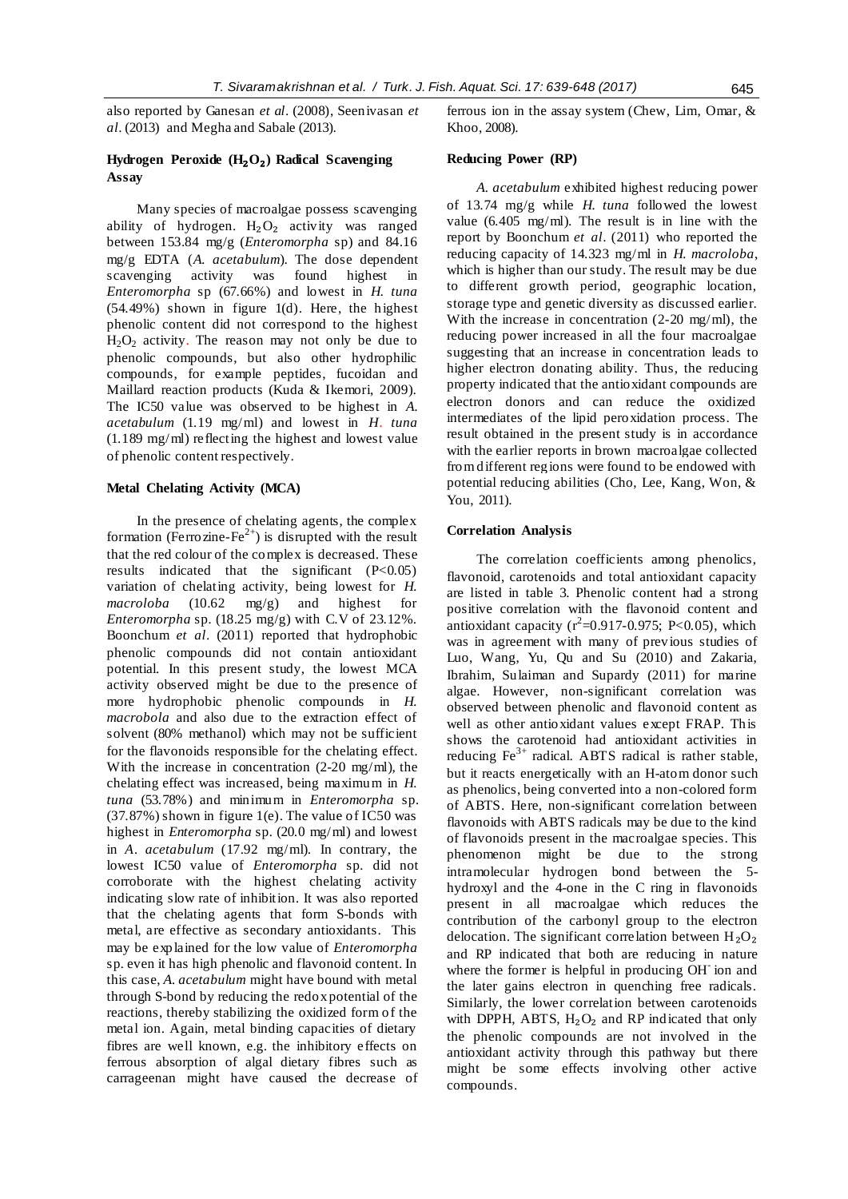also reported by Ganesan *et al*. (2008), Seenivasan *et al*. (2013) and Megha and Sabale (2013).

# **Hydrogen Peroxide (H**₂**O**₂**) Radical Scavenging Assay**

Many species of macroalgae possess scavenging ability of hydrogen.  $H_2O_2$  activity was ranged between 153.84 mg/g (*Enteromorpha* sp) and 84.16 mg/g EDTA (*A. acetabulum*). The dose dependent scavenging activity was found highest in *Enteromorpha* sp (67.66%) and lowest in *H. tuna* (54.49%) shown in figure 1(d). Here, the highest phenolic content did not correspond to the highest  $H<sub>2</sub>O<sub>2</sub>$  activity. The reason may not only be due to phenolic compounds, but also other hydrophilic compounds, for example peptides, fucoidan and Maillard reaction products (Kuda & Ikemori, 2009). The IC50 value was observed to be highest in *A. acetabulum* (1.19 mg/ml) and lowest in *H. tuna* (1.189 mg/ml) reflecting the highest and lowest value of phenolic content respectively.

### **Metal Chelating Activity (MCA)**

In the presence of chelating agents, the complex formation (Ferrozine-Fe<sup>2+</sup>) is disrupted with the result that the red colour of the complex is decreased. These results indicated that the significant  $(P<0.05)$ variation of chelating activity, being lowest for *H. macroloba* (10.62 mg/g) and highest for *Enteromorpha* sp*.* (18.25 mg/g) with C.V of 23.12%. Boonchum *et al*. (2011) reported that hydrophobic phenolic compounds did not contain antioxidant potential. In this present study, the lowest MCA activity observed might be due to the presence of more hydrophobic phenolic compounds in *H. macrobola* and also due to the extraction effect of solvent (80% methanol) which may not be sufficient for the flavonoids responsible for the chelating effect. With the increase in concentration (2-20 mg/ml), the chelating effect was increased, being maximum in *H. tuna* (53.78%) and minimum in *Enteromorpha* sp*.* (37.87%) shown in figure 1(e). The value of IC50 was highest in *Enteromorpha* sp*.* (20.0 mg/ml) and lowest in *A. acetabulum* (17.92 mg/ml). In contrary, the lowest IC50 value of *Enteromorpha* sp*.* did not corroborate with the highest chelating activity indicating slow rate of inhibition*.* It was also reported that the chelating agents that form S-bonds with metal, are effective as secondary antioxidants. This may be explained for the low value of *Enteromorpha*  sp*.* even it has high phenolic and flavonoid content. In this case, *A. acetabulum* might have bound with metal through S-bond by reducing the redox potential of the reactions, thereby stabilizing the oxidized form of the metal ion. Again, metal binding capacities of dietary fibres are well known, e.g. the inhibitory effects on ferrous absorption of algal dietary fibres such as carrageenan might have caused the decrease of ferrous ion in the assay system (Chew, Lim, Omar, & Khoo, 2008).

# **Reducing Power (RP)**

*A. acetabulum* exhibited highest reducing power of 13.74 mg/g while *H. tuna* followed the lowest value (6.405 mg/ml). The result is in line with the report by Boonchum *et al*. (2011) who reported the reducing capacity of 14.323 mg/ml in *H. macroloba*, which is higher than our study. The result may be due to different growth period, geographic location, storage type and genetic diversity as discussed earlier. With the increase in concentration (2-20 mg/ml), the reducing power increased in all the four macroalgae suggesting that an increase in concentration leads to higher electron donating ability. Thus, the reducing property indicated that the antioxidant compounds are electron donors and can reduce the oxidized intermediates of the lipid peroxidation process. The result obtained in the present study is in accordance with the earlier reports in brown macroalgae collected from different regions were found to be endowed with potential reducing abilities (Cho, Lee, Kang, Won, & You, 2011).

### **Correlation Analysis**

The correlation coefficients among phenolics, flavonoid, carotenoids and total antioxidant capacity are listed in table 3. Phenolic content had a strong positive correlation with the flavonoid content and antioxidant capacity ( $r^2$ =0.917-0.975; P<0.05), which was in agreement with many of previous studies of Luo, Wang, Yu, Qu and Su (2010) and Zakaria, Ibrahim, Sulaiman and Supardy (2011) for marine algae. However, non-significant correlation was observed between phenolic and flavonoid content as well as other antioxidant values except FRAP. This shows the carotenoid had antioxidant activities in reducing  $Fe<sup>3+</sup>$  radical. ABTS radical is rather stable, but it reacts energetically with an H-atom donor such as phenolics, being converted into a non-colored form of ABTS. Here, non-significant correlation between flavonoids with ABTS radicals may be due to the kind of flavonoids present in the macroalgae species. This phenomenon might be due to the strong intramolecular hydrogen bond between the 5 hydroxyl and the 4-one in the C ring in flavonoids present in all macroalgae which reduces the contribution of the carbonyl group to the electron delocation. The significant correlation between  $H_2O_2$ and RP indicated that both are reducing in nature where the former is helpful in producing OH<sup>-</sup> ion and the later gains electron in quenching free radicals. Similarly, the lower correlation between carotenoids with DPPH, ABTS,  $H_2O_2$  and RP indicated that only the phenolic compounds are not involved in the antioxidant activity through this pathway but there might be some effects involving other active compounds.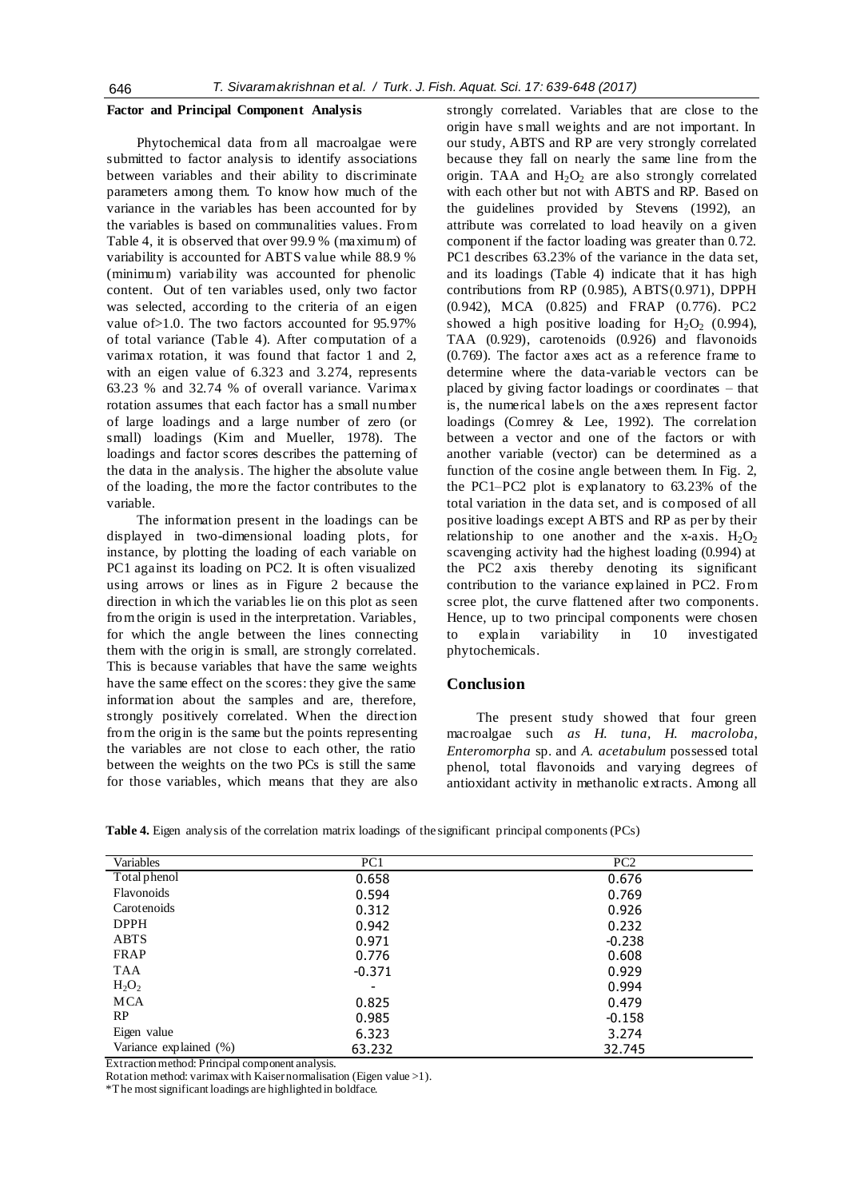### **Factor and Principal Component Analysis**

Phytochemical data from all macroalgae were submitted to factor analysis to identify associations between variables and their ability to discriminate parameters among them. To know how much of the variance in the variables has been accounted for by the variables is based on communalities values. From Table 4, it is observed that over 99.9 % (maximum) of variability is accounted for ABTS value while 88.9 % (minimum) variability was accounted for phenolic content. Out of ten variables used, only two factor was selected, according to the criteria of an eigen value of>1.0. The two factors accounted for 95.97% of total variance (Table 4). After computation of a varimax rotation, it was found that factor 1 and 2, with an eigen value of 6.323 and 3.274, represents 63.23 % and 32.74 % of overall variance. Varimax rotation assumes that each factor has a small number of large loadings and a large number of zero (or small) loadings (Kim and Mueller, 1978). The loadings and factor scores describes the patterning of the data in the analysis. The higher the absolute value of the loading, the more the factor contributes to the variable.

The information present in the loadings can be displayed in two-dimensional loading plots, for instance, by plotting the loading of each variable on PC1 against its loading on PC2. It is often visualized using arrows or lines as in Figure 2 because the direction in which the variables lie on this plot as seen from the origin is used in the interpretation. Variables, for which the angle between the lines connecting them with the origin is small, are strongly correlated. This is because variables that have the same weights have the same effect on the scores: they give the same information about the samples and are, therefore, strongly positively correlated. When the direction from the origin is the same but the points representing the variables are not close to each other, the ratio between the weights on the two PCs is still the same for those variables, which means that they are also

strongly correlated. Variables that are close to the origin have s mall weights and are not important. In our study, ABTS and RP are very strongly correlated because they fall on nearly the same line from the origin. TAA and  $H_2O_2$  are also strongly correlated with each other but not with ABTS and RP. Based on the guidelines provided by Stevens (1992), an attribute was correlated to load heavily on a given component if the factor loading was greater than 0.72. PC1 describes 63.23% of the variance in the data set, and its loadings (Table 4) indicate that it has high contributions from RP (0.985), ABTS(0.971), DPPH (0.942), MCA (0.825) and FRAP (0.776). PC2 showed a high positive loading for  $H_2O_2$  (0.994), TAA (0.929), carotenoids (0.926) and flavonoids (0.769). The factor axes act as a reference frame to determine where the data-variable vectors can be placed by giving factor loadings or coordinates – that is, the numerical labels on the axes represent factor loadings (Comrey & Lee, 1992). The correlation between a vector and one of the factors or with another variable (vector) can be determined as a function of the cosine angle between them. In Fig. 2, the PC1–PC2 plot is explanatory to 63.23% of the total variation in the data set, and is composed of all positive loadings except ABTS and RP as per by their relationship to one another and the x-axis.  $H_2O_2$ scavenging activity had the highest loading (0.994) at the PC2 axis thereby denoting its significant contribution to the variance explained in PC2. From scree plot, the curve flattened after two components. Hence, up to two principal components were chosen explain variability in 10 investigated phytochemicals.

# **Conclusion**

The present study showed that four green macroalgae such *as H. tuna, H. macroloba, Enteromorpha* sp. and *A. acetabulum* possessed total phenol, total flavonoids and varying degrees of antioxidant activity in methanolic extracts. Among all

**Table 4.** Eigen analysis of the correlation matrix loadings of the significant principal components (PCs)

| Variables              | PC1                      | PC <sub>2</sub> |
|------------------------|--------------------------|-----------------|
| Total phenol           | 0.658                    | 0.676           |
| Flavonoids             | 0.594                    | 0.769           |
| Carotenoids            | 0.312                    | 0.926           |
| <b>DPPH</b>            | 0.942                    | 0.232           |
| ABTS                   | 0.971                    | $-0.238$        |
| FRAP                   | 0.776                    | 0.608           |
| TAA                    | $-0.371$                 | 0.929           |
| $H_2O_2$               | $\overline{\phantom{a}}$ | 0.994           |
| <b>MCA</b>             | 0.825                    | 0.479           |
| RP                     | 0.985                    | $-0.158$        |
| Eigen value            | 6.323                    | 3.274           |
| Variance explained (%) | 63.232                   | 32.745          |

Extraction method: Principal component analysis.

Rotation method: varimax with Kaiser normalisation (Eigen value >1).

\*The most significant loadings are highlighted in boldface.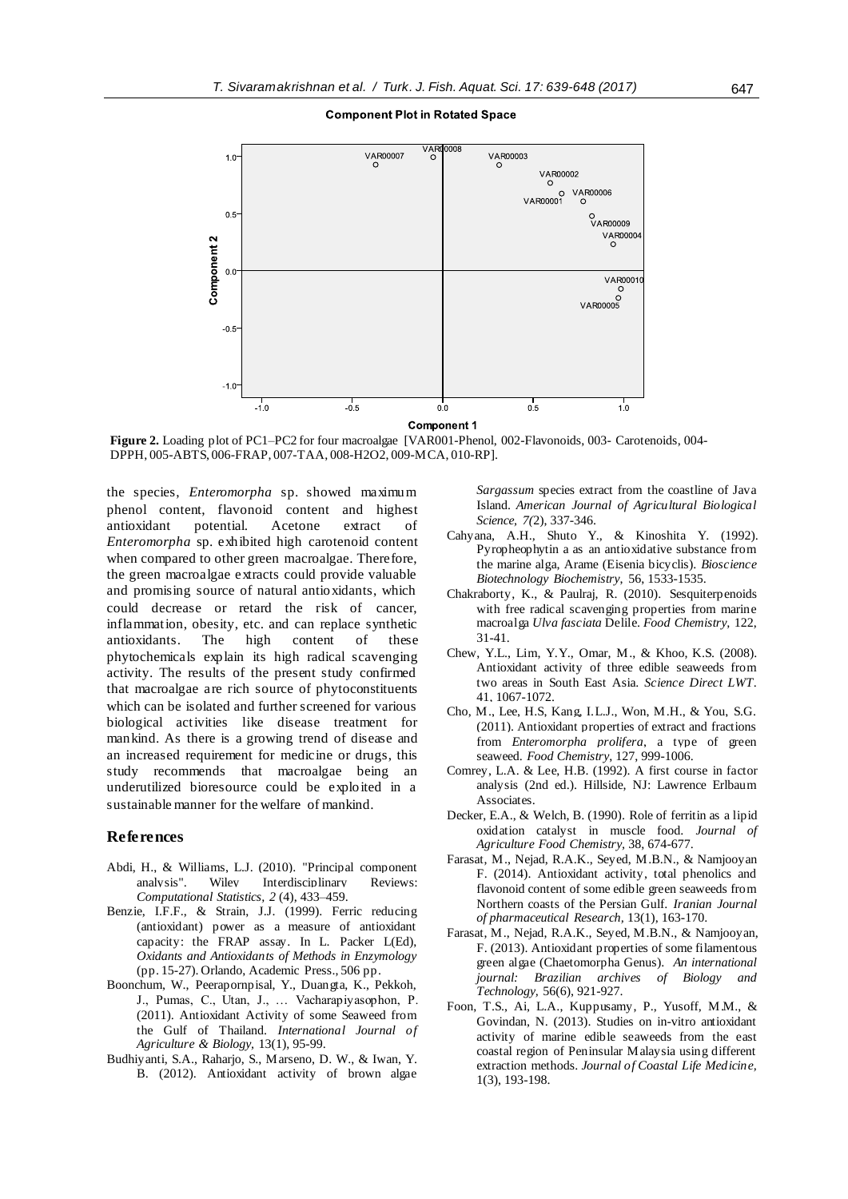### **Component Plot in Rotated Space**



**Component 1** 

**Figure 2.** Loading plot of PC1–PC2 for four macroalgae [VAR001-Phenol, 002-Flavonoids, 003- Carotenoids, 004- DPPH, 005-ABTS, 006-FRAP, 007-TAA, 008-H2O2, 009-MCA, 010-RP].

the species, *Enteromorpha* sp. showed maximum phenol content, flavonoid content and highest antioxidant potential. Acetone extract of *Enteromorpha* sp. exhibited high carotenoid content when compared to other green macroalgae. Therefore, the green macroalgae extracts could provide valuable and promising source of natural antioxidants, which could decrease or retard the risk of cancer, inflammation, obesity, etc. and can replace synthetic antioxidants. The high content of these phytochemicals explain its high radical scavenging activity. The results of the present study confirmed that macroalgae are rich source of phytoconstituents which can be isolated and further screened for various biological activities like disease treatment for mankind. As there is a growing trend of disease and an increased requirement for medicine or drugs, this study recommends that macroalgae being an underutilized bioresource could be exploited in a sustainable manner for the welfare of mankind.

# **References**

- [Abdi, H.,](https://en.wikipedia.org/w/index.php?title=AbdiWilliams&action=edit&redlink=1) & Williams, L.J. (2010). "Principal component analysis". Wiley Interdisciplinary Reviews: *Computational Statistics, 2* (4), 433–459.
- Benzie, I.F.F., & Strain, J.J. (1999). Ferric reducing (antioxidant) power as a measure of antioxidant capacity: the FRAP assay. In L. Packer L(Ed), *Oxidants and Antioxidants of Methods in Enzymology* (pp. 15-27). Orlando, Academic Press., 506 pp.
- Boonchum, W., Peerapornpisal, Y., Duangta, K., Pekkoh, J., Pumas, C., Utan, J., … Vacharapiyasophon, P. (2011). Antioxidant Activity of some Seaweed from the Gulf of Thailand. *International Journal of Agriculture & Biology,* 13(1), 95-99.
- Budhiyanti, S.A., Raharjo, S., Marseno, D. W., & Iwan, Y. B. (2012). Antioxidant activity of brown algae

*Sargassum* species extract from the coastline of Java Island. *American Journal of Agricultural Biological Science, 7(*2), 337-346.

- Cahyana, A.H., Shuto Y., & Kinoshita Y. (1992). Pyropheophytin a as an antioxidative substance from the marine alga, Arame (Eisenia bicyclis). *Bioscience Biotechnology Biochemistry*, 56, 1533-1535.
- Chakraborty, K., & Paulraj, R. (2010). Sesquiterpenoids with free radical scavenging properties from marine macroalga *Ulva fasciata* Delile. *Food Chemistry,* 122, 31-41.
- Chew, Y.L., Lim, Y.Y., Omar, M., & Khoo, K.S. (2008). Antioxidant activity of three edible seaweeds from two areas in South East Asia. *Science Direct LWT*. 41, 1067-1072.
- Cho, M., Lee, H.S, Kang, I.L.J., Won, M.H., & You, S.G. (2011). Antioxidant properties of extract and fractions from *Enteromorpha prolifera*, a type of green seaweed. *Food Chemistry*, 127, 999-1006.
- Comrey, L.A. & Lee, H.B. (1992). A first course in factor analysis (2nd ed.). Hillside, NJ: Lawrence Erlbaum Associates.
- Decker, E.A., & Welch, B. (1990). Role of ferritin as a lipid oxidation catalyst in muscle food. *Journal of Agriculture Food Chemistry,* 38, 674-677.
- Farasat, M., Nejad, R.A.K., Seyed, M.B.N., & Namjooyan F. (2014). Antioxidant activity, total phenolics and flavonoid content of some edible green seaweeds from Northern coasts of the Persian Gulf. *Iranian Journal of pharmaceutical Research,* 13(1), 163-170.
- Farasat, M., Nejad, R.A.K., Seyed, M.B.N., & Namjooyan, F. (2013). Antioxidant properties of some filamentous green algae (Chaetomorpha Genus). *An international journal: Brazilian archives of Biology and Technology,* 56(6), 921-927.
- Foon, T.S., Ai, L.A., Kuppusamy, P., Yusoff, M.M., & Govindan, N. (2013). Studies on in-vitro antioxidant activity of marine edible seaweeds from the east coastal region of Peninsular Malaysia using different extraction methods. *Journal of Coastal Life Medicine,*  1(3), 193-198.